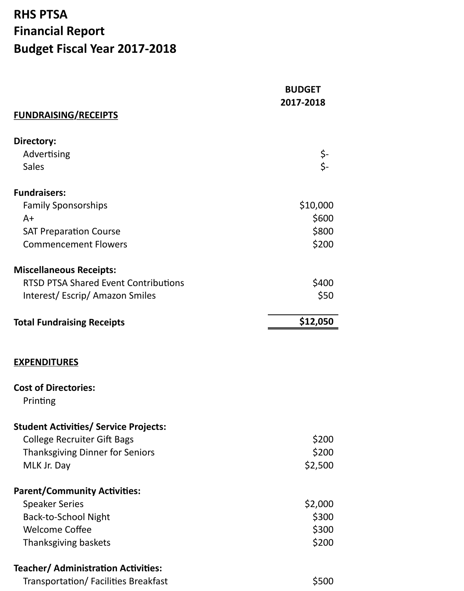## **RHS PTSA Financial Report Budget Fiscal Year 2017-2018**

|                                              | <b>BUDGET</b><br>2017-2018 |
|----------------------------------------------|----------------------------|
| <b>FUNDRAISING/RECEIPTS</b>                  |                            |
| Directory:                                   |                            |
| Advertising                                  |                            |
| <b>Sales</b>                                 | \$-<br>-\$                 |
| <b>Fundraisers:</b>                          |                            |
| <b>Family Sponsorships</b>                   | \$10,000                   |
| $A+$                                         | \$600                      |
| <b>SAT Preparation Course</b>                | \$800                      |
| <b>Commencement Flowers</b>                  | \$200                      |
| <b>Miscellaneous Receipts:</b>               |                            |
| <b>RTSD PTSA Shared Event Contributions</b>  | \$400                      |
| Interest/Escrip/Amazon Smiles                | \$50                       |
| <b>Total Fundraising Receipts</b>            | \$12,050                   |
| <b>EXPENDITURES</b>                          |                            |
| <b>Cost of Directories:</b>                  |                            |
| Printing                                     |                            |
| <b>Student Activities/ Service Projects:</b> |                            |
| <b>College Recruiter Gift Bags</b>           | \$200                      |
| <b>Thanksgiving Dinner for Seniors</b>       | \$200                      |
| MLK Jr. Day                                  | \$2,500                    |
| <b>Parent/Community Activities:</b>          |                            |
| <b>Speaker Series</b>                        | \$2,000                    |
| <b>Back-to-School Night</b>                  | \$300                      |
| <b>Welcome Coffee</b>                        | \$300                      |
| Thanksgiving baskets                         | \$200                      |
| <b>Teacher/ Administration Activities:</b>   |                            |
| Transportation/ Facilities Breakfast         | \$500                      |